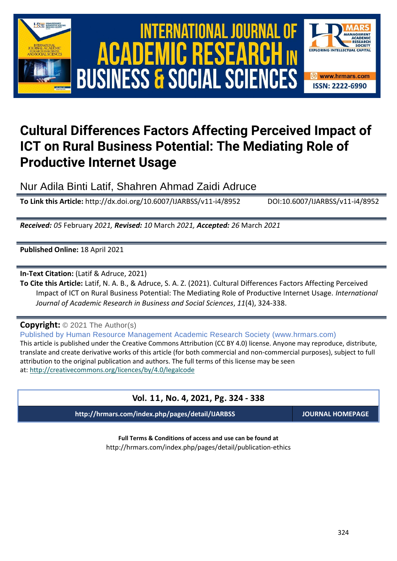





# **Cultural Differences Factors Affecting Perceived Impact of ICT on Rural Business Potential: The Mediating Role of Productive Internet Usage**

Nur Adila Binti Latif, Shahren Ahmad Zaidi Adruce

**To Link this Article:** http://dx.doi.org/10.6007/IJARBSS/v11-i4/8952 DOI:10.6007/IJARBSS/v11-i4/8952

*Received: 05* February *2021, Revised: 10* March *2021, Accepted: 26* March *2021*

**Published Online:** 18 April 2021

**In-Text Citation:** (Latif & Adruce, 2021)

**To Cite this Article:** Latif, N. A. B., & Adruce, S. A. Z. (2021). Cultural Differences Factors Affecting Perceived Impact of ICT on Rural Business Potential: The Mediating Role of Productive Internet Usage. *International Journal of Academic Research in Business and Social Sciences*, *11*(4), 324-338.

**Copyright:** © 2021 The Author(s)

Published by Human Resource Management Academic Research Society (www.hrmars.com)

This article is published under the Creative Commons Attribution (CC BY 4.0) license. Anyone may reproduce, distribute, translate and create derivative works of this article (for both commercial and non-commercial purposes), subject to full attribution to the original publication and authors. The full terms of this license may be seen at: <http://creativecommons.org/licences/by/4.0/legalcode>

# **Vol. 11, No. 4, 2021, Pg. 324 - 338**

**http://hrmars.com/index.php/pages/detail/IJARBSS JOURNAL HOMEPAGE**

**Full Terms & Conditions of access and use can be found at** http://hrmars.com/index.php/pages/detail/publication-ethics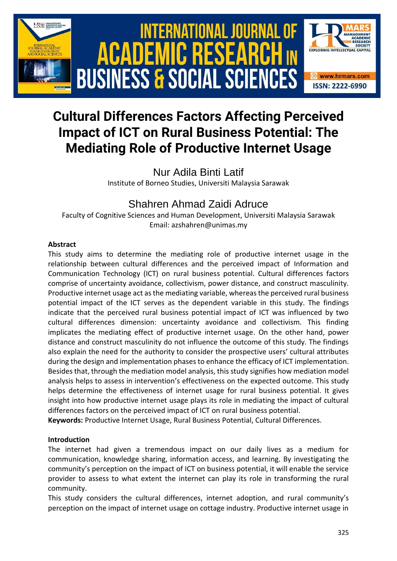

# **Cultural Differences Factors Affecting Perceived Impact of ICT on Rural Business Potential: The Mediating Role of Productive Internet Usage**

Nur Adila Binti Latif Institute of Borneo Studies, Universiti Malaysia Sarawak

# Shahren Ahmad Zaidi Adruce

Faculty of Cognitive Sciences and Human Development, Universiti Malaysia Sarawak Email: azshahren@unimas.my

# **Abstract**

This study aims to determine the mediating role of productive internet usage in the relationship between cultural differences and the perceived impact of Information and Communication Technology (ICT) on rural business potential. Cultural differences factors comprise of uncertainty avoidance, collectivism, power distance, and construct masculinity. Productive internet usage act as the mediating variable, whereas the perceived rural business potential impact of the ICT serves as the dependent variable in this study. The findings indicate that the perceived rural business potential impact of ICT was influenced by two cultural differences dimension: uncertainty avoidance and collectivism. This finding implicates the mediating effect of productive internet usage. On the other hand, power distance and construct masculinity do not influence the outcome of this study. The findings also explain the need for the authority to consider the prospective users' cultural attributes during the design and implementation phases to enhance the efficacy of ICT implementation. Besides that, through the mediation model analysis, this study signifies how mediation model analysis helps to assess in intervention's effectiveness on the expected outcome. This study helps determine the effectiveness of internet usage for rural business potential. It gives insight into how productive internet usage plays its role in mediating the impact of cultural differences factors on the perceived impact of ICT on rural business potential.

**Keywords:** Productive Internet Usage, Rural Business Potential, Cultural Differences.

# **Introduction**

The internet had given a tremendous impact on our daily lives as a medium for communication, knowledge sharing, information access, and learning. By investigating the community's perception on the impact of ICT on business potential, it will enable the service provider to assess to what extent the internet can play its role in transforming the rural community.

This study considers the cultural differences, internet adoption, and rural community's perception on the impact of internet usage on cottage industry. Productive internet usage in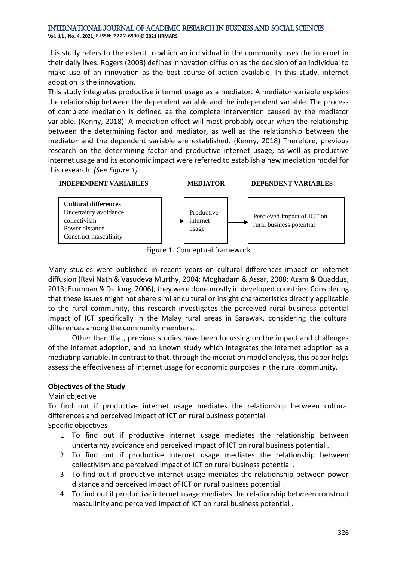**Vol. 1 1 , No. 4, 2021, E-ISSN: 2222-6990 © 2021 HRMARS**

this study refers to the extent to which an individual in the community uses the internet in their daily lives. Rogers (2003) defines innovation diffusion as the decision of an individual to make use of an innovation as the best course of action available. In this study, internet adoption is the innovation.

This study integrates productive internet usage as a mediator. A mediator variable explains the relationship between the dependent variable and the independent variable. The process of complete mediation is defined as the complete intervention caused by the mediator variable. (Kenny, 2018). A mediation effect will most probably occur when the relationship between the determining factor and mediator, as well as the relationship between the mediator and the dependent variable are established. (Kenny, 2018) Therefore, previous research on the determining factor and productive internet usage, as well as productive internet usage and its economic impact were referred to establish a new mediation model for this research. *(See Figure 1)*



Figure 1. Conceptual framework

Many studies were published in recent years on cultural differences impact on internet diffusion (Ravi Nath & Vasudeva Murthy, 2004; Moghadam & Assar, 2008; Azam & Quaddus, 2013; Erumban & De Jong, 2006), they were done mostly in developed countries. Considering that these issues might not share similar cultural or insight characteristics directly applicable to the rural community, this research investigates the perceived rural business potential impact of ICT specifically in the Malay rural areas in Sarawak, considering the cultural differences among the community members.

Other than that, previous studies have been focussing on the impact and challenges of the internet adoption, and no known study which integrates the internet adoption as a mediating variable. In contrast to that, through the mediation model analysis, this paper helps assess the effectiveness of internet usage for economic purposes in the rural community.

# **Objectives of the Study**

#### Main objective

To find out if productive internet usage mediates the relationship between cultural differences and perceived impact of ICT on rural business potential.

Specific objectives

- 1. To find out if productive internet usage mediates the relationship between uncertainty avoidance and perceived impact of ICT on rural business potential .
- 2. To find out if productive internet usage mediates the relationship between collectivism and perceived impact of ICT on rural business potential .
- 3. To find out if productive internet usage mediates the relationship between power distance and perceived impact of ICT on rural business potential .
- 4. To find out if productive internet usage mediates the relationship between construct masculinity and perceived impact of ICT on rural business potential .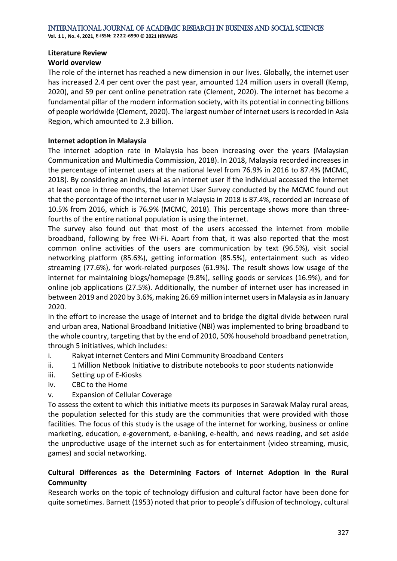**Vol. 1 1 , No. 4, 2021, E-ISSN: 2222-6990 © 2021 HRMARS**

#### **Literature Review**

# **World overview**

The role of the internet has reached a new dimension in our lives. Globally, the internet user has increased 2.4 per cent over the past year, amounted 124 million users in overall (Kemp, 2020), and 59 per cent online penetration rate (Clement, 2020). The internet has become a fundamental pillar of the modern information society, with its potential in connecting billions of people worldwide (Clement, 2020). The largest number of internet users is recorded in Asia Region, which amounted to 2.3 billion.

### **Internet adoption in Malaysia**

The internet adoption rate in Malaysia has been increasing over the years (Malaysian Communication and Multimedia Commission, 2018). In 2018, Malaysia recorded increases in the percentage of internet users at the national level from 76.9% in 2016 to 87.4% (MCMC, 2018). By considering an individual as an internet user if the individual accessed the internet at least once in three months, the Internet User Survey conducted by the MCMC found out that the percentage of the internet user in Malaysia in 2018 is 87.4%, recorded an increase of 10.5% from 2016, which is 76.9% (MCMC, 2018). This percentage shows more than threefourths of the entire national population is using the internet.

The survey also found out that most of the users accessed the internet from mobile broadband, following by free Wi-Fi. Apart from that, it was also reported that the most common online activities of the users are communication by text (96.5%), visit social networking platform (85.6%), getting information (85.5%), entertainment such as video streaming (77.6%), for work-related purposes (61.9%). The result shows low usage of the internet for maintaining blogs/homepage (9.8%), selling goods or services (16.9%), and for online job applications (27.5%). Additionally, the number of internet user has increased in between 2019 and 2020 by 3.6%, making 26.69 million internet users in Malaysia as in January 2020.

In the effort to increase the usage of internet and to bridge the digital divide between rural and urban area, National Broadband Initiative (NBI) was implemented to bring broadband to the whole country, targeting that by the end of 2010, 50% household broadband penetration, through 5 initiatives, which includes:

- i. Rakyat internet Centers and Mini Community Broadband Centers
- ii. 1 Million Netbook Initiative to distribute notebooks to poor students nationwide
- iii. Setting up of E-Kiosks
- iv. CBC to the Home
- v. Expansion of Cellular Coverage

To assess the extent to which this initiative meets its purposes in Sarawak Malay rural areas, the population selected for this study are the communities that were provided with those facilities. The focus of this study is the usage of the internet for working, business or online marketing, education, e-government, e-banking, e-health, and news reading, and set aside the unproductive usage of the internet such as for entertainment (video streaming, music, games) and social networking.

# **Cultural Differences as the Determining Factors of Internet Adoption in the Rural Community**

Research works on the topic of technology diffusion and cultural factor have been done for quite sometimes. Barnett (1953) noted that prior to people's diffusion of technology, cultural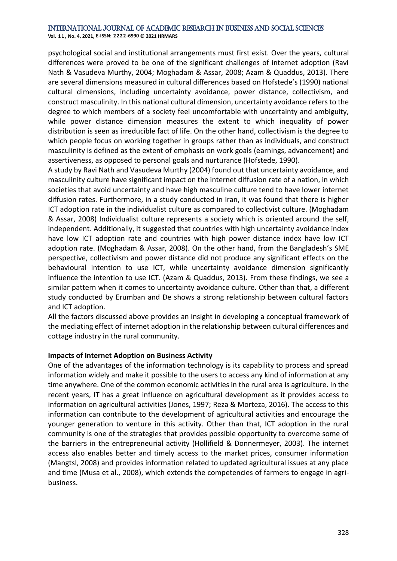**Vol. 1 1 , No. 4, 2021, E-ISSN: 2222-6990 © 2021 HRMARS**

psychological social and institutional arrangements must first exist. Over the years, cultural differences were proved to be one of the significant challenges of internet adoption (Ravi Nath & Vasudeva Murthy, 2004; Moghadam & Assar, 2008; Azam & Quaddus, 2013). There are several dimensions measured in cultural differences based on Hofstede's (1990) national cultural dimensions, including uncertainty avoidance, power distance, collectivism, and construct masculinity. In this national cultural dimension, uncertainty avoidance refers to the degree to which members of a society feel uncomfortable with uncertainty and ambiguity, while power distance dimension measures the extent to which inequality of power distribution is seen as irreducible fact of life. On the other hand, collectivism is the degree to which people focus on working together in groups rather than as individuals, and construct masculinity is defined as the extent of emphasis on work goals (earnings, advancement) and assertiveness, as opposed to personal goals and nurturance (Hofstede, 1990).

A study by Ravi Nath and Vasudeva Murthy (2004) found out that uncertainty avoidance, and masculinity culture have significant impact on the internet diffusion rate of a nation, in which societies that avoid uncertainty and have high masculine culture tend to have lower internet diffusion rates. Furthermore, in a study conducted in Iran, it was found that there is higher ICT adoption rate in the individualist culture as compared to collectivist culture. (Moghadam & Assar, 2008) Individualist culture represents a society which is oriented around the self, independent. Additionally, it suggested that countries with high uncertainty avoidance index have low ICT adoption rate and countries with high power distance index have low ICT adoption rate. (Moghadam & Assar, 2008). On the other hand, from the Bangladesh's SME perspective, collectivism and power distance did not produce any significant effects on the behavioural intention to use ICT, while uncertainty avoidance dimension significantly influence the intention to use ICT. (Azam & Quaddus, 2013). From these findings, we see a similar pattern when it comes to uncertainty avoidance culture. Other than that, a different study conducted by Erumban and De shows a strong relationship between cultural factors and ICT adoption.

All the factors discussed above provides an insight in developing a conceptual framework of the mediating effect of internet adoption in the relationship between cultural differences and cottage industry in the rural community.

#### **Impacts of Internet Adoption on Business Activity**

One of the advantages of the information technology is its capability to process and spread information widely and make it possible to the users to access any kind of information at any time anywhere. One of the common economic activities in the rural area is agriculture. In the recent years, IT has a great influence on agricultural development as it provides access to information on agricultural activities (Jones, 1997; Reza & Morteza, 2016). The access to this information can contribute to the development of agricultural activities and encourage the younger generation to venture in this activity. Other than that, ICT adoption in the rural community is one of the strategies that provides possible opportunity to overcome some of the barriers in the entrepreneurial activity (Hollifield & Donnermeyer, 2003). The internet access also enables better and timely access to the market prices, consumer information (Mangtsl, 2008) and provides information related to updated agricultural issues at any place and time (Musa et al., 2008), which extends the competencies of farmers to engage in agribusiness.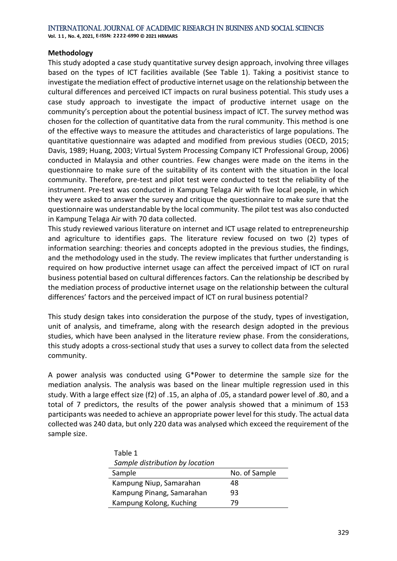#### **Methodology**

This study adopted a case study quantitative survey design approach, involving three villages based on the types of ICT facilities available (See Table 1). Taking a positivist stance to investigate the mediation effect of productive internet usage on the relationship between the cultural differences and perceived ICT impacts on rural business potential. This study uses a case study approach to investigate the impact of productive internet usage on the community's perception about the potential business impact of ICT. The survey method was chosen for the collection of quantitative data from the rural community. This method is one of the effective ways to measure the attitudes and characteristics of large populations. The quantitative questionnaire was adapted and modified from previous studies (OECD, 2015; Davis, 1989; Huang, 2003; Virtual System Processing Company ICT Professional Group, 2006) conducted in Malaysia and other countries. Few changes were made on the items in the questionnaire to make sure of the suitability of its content with the situation in the local community. Therefore, pre-test and pilot test were conducted to test the reliability of the instrument. Pre-test was conducted in Kampung Telaga Air with five local people, in which they were asked to answer the survey and critique the questionnaire to make sure that the questionnaire was understandable by the local community. The pilot test was also conducted in Kampung Telaga Air with 70 data collected.

This study reviewed various literature on internet and ICT usage related to entrepreneurship and agriculture to identifies gaps. The literature review focused on two (2) types of information searching: theories and concepts adopted in the previous studies, the findings, and the methodology used in the study. The review implicates that further understanding is required on how productive internet usage can affect the perceived impact of ICT on rural business potential based on cultural differences factors. Can the relationship be described by the mediation process of productive internet usage on the relationship between the cultural differences' factors and the perceived impact of ICT on rural business potential?

This study design takes into consideration the purpose of the study, types of investigation, unit of analysis, and timeframe, along with the research design adopted in the previous studies, which have been analysed in the literature review phase. From the considerations, this study adopts a cross-sectional study that uses a survey to collect data from the selected community.

A power analysis was conducted using G\*Power to determine the sample size for the mediation analysis. The analysis was based on the linear multiple regression used in this study. With a large effect size (f2) of .15, an alpha of .05, a standard power level of .80, and a total of 7 predictors, the results of the power analysis showed that a minimum of 153 participants was needed to achieve an appropriate power level for this study. The actual data collected was 240 data, but only 220 data was analysed which exceed the requirement of the sample size.

| Table 1                         |               |
|---------------------------------|---------------|
| Sample distribution by location |               |
| Sample                          | No. of Sample |
| Kampung Niup, Samarahan         | 48            |
| Kampung Pinang, Samarahan       | 93            |
| Kampung Kolong, Kuching         | 79            |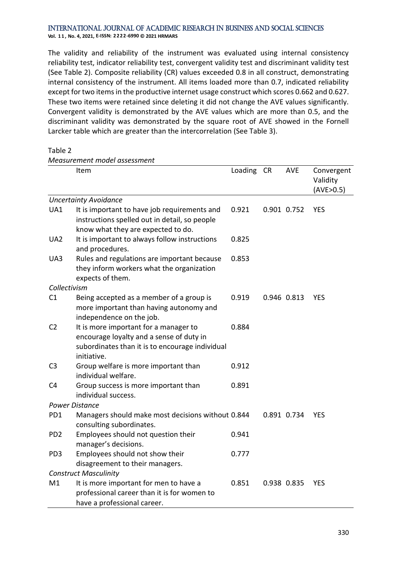**Vol. 1 1 , No. 4, 2021, E-ISSN: 2222-6990 © 2021 HRMARS**

*Measurement model assessment*

The validity and reliability of the instrument was evaluated using internal consistency reliability test, indicator reliability test, convergent validity test and discriminant validity test (See Table 2). Composite reliability (CR) values exceeded 0.8 in all construct, demonstrating internal consistency of the instrument. All items loaded more than 0.7, indicated reliability except for two items in the productive internet usage construct which scores 0.662 and 0.627. These two items were retained since deleting it did not change the AVE values significantly. Convergent validity is demonstrated by the AVE values which are more than 0.5, and the discriminant validity was demonstrated by the square root of AVE showed in the Fornell Larcker table which are greater than the intercorrelation (See Table 3).

| abir |  |
|------|--|
|------|--|

|                 | Item                                                                                                                                                | Loading CR | <b>AVE</b>  | Convergent<br>Validity<br>(AVE>0.5) |
|-----------------|-----------------------------------------------------------------------------------------------------------------------------------------------------|------------|-------------|-------------------------------------|
|                 | <b>Uncertainty Avoidance</b>                                                                                                                        |            |             |                                     |
| UA1             | It is important to have job requirements and<br>instructions spelled out in detail, so people<br>know what they are expected to do.                 | 0.921      | 0.901 0.752 | <b>YES</b>                          |
| UA <sub>2</sub> | It is important to always follow instructions<br>and procedures.                                                                                    | 0.825      |             |                                     |
| UA3             | Rules and regulations are important because<br>they inform workers what the organization<br>expects of them.                                        | 0.853      |             |                                     |
| Collectivism    |                                                                                                                                                     |            |             |                                     |
| C1              | Being accepted as a member of a group is<br>more important than having autonomy and<br>independence on the job.                                     | 0.919      | 0.946 0.813 | <b>YES</b>                          |
| C <sub>2</sub>  | It is more important for a manager to<br>encourage loyalty and a sense of duty in<br>subordinates than it is to encourage individual<br>initiative. | 0.884      |             |                                     |
| C <sub>3</sub>  | Group welfare is more important than<br>individual welfare.                                                                                         | 0.912      |             |                                     |
| C <sub>4</sub>  | Group success is more important than<br>individual success.                                                                                         | 0.891      |             |                                     |
|                 | <b>Power Distance</b>                                                                                                                               |            |             |                                     |
| PD1             | Managers should make most decisions without 0.844<br>consulting subordinates.                                                                       |            | 0.891 0.734 | <b>YES</b>                          |
| PD <sub>2</sub> | Employees should not question their<br>manager's decisions.                                                                                         | 0.941      |             |                                     |
| PD <sub>3</sub> | Employees should not show their<br>disagreement to their managers.                                                                                  | 0.777      |             |                                     |
|                 | <b>Construct Masculinity</b>                                                                                                                        |            |             |                                     |
| M1              | It is more important for men to have a<br>professional career than it is for women to<br>have a professional career.                                | 0.851      | 0.938 0.835 | <b>YES</b>                          |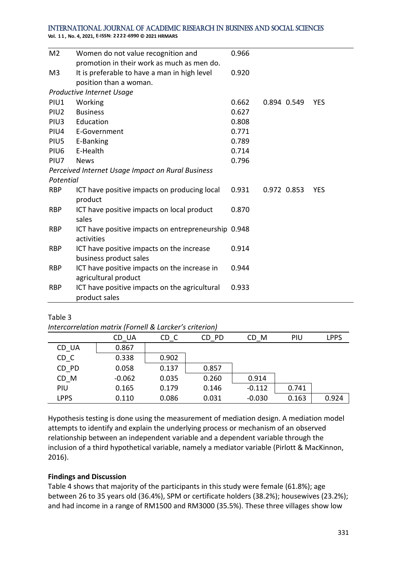**Vol. 1 1 , No. 4, 2021, E-ISSN: 2222-6990 © 2021 HRMARS**

| M <sub>2</sub>   | Women do not value recognition and                                   | 0.966 |             |            |
|------------------|----------------------------------------------------------------------|-------|-------------|------------|
|                  | promotion in their work as much as men do.                           |       |             |            |
| M <sub>3</sub>   | It is preferable to have a man in high level                         | 0.920 |             |            |
|                  | position than a woman.                                               |       |             |            |
|                  | Productive Internet Usage                                            |       |             |            |
| PIU1             | Working                                                              | 0.662 | 0.894 0.549 | <b>YES</b> |
| PIU <sub>2</sub> | <b>Business</b>                                                      | 0.627 |             |            |
| PIU <sub>3</sub> | Education                                                            | 0.808 |             |            |
| PIU4             | E-Government                                                         | 0.771 |             |            |
| PIU5             | E-Banking                                                            | 0.789 |             |            |
| PIU <sub>6</sub> | E-Health                                                             | 0.714 |             |            |
| PIU7             | <b>News</b>                                                          | 0.796 |             |            |
|                  | Perceived Internet Usage Impact on Rural Business                    |       |             |            |
| Potential        |                                                                      |       |             |            |
| <b>RBP</b>       | ICT have positive impacts on producing local<br>product              | 0.931 | 0.972 0.853 | <b>YES</b> |
| <b>RBP</b>       | ICT have positive impacts on local product<br>sales                  | 0.870 |             |            |
| <b>RBP</b>       | ICT have positive impacts on entrepreneurship 0.948<br>activities    |       |             |            |
| <b>RBP</b>       | ICT have positive impacts on the increase<br>business product sales  | 0.914 |             |            |
| <b>RBP</b>       | ICT have positive impacts on the increase in<br>agricultural product | 0.944 |             |            |
| <b>RBP</b>       | ICT have positive impacts on the agricultural<br>product sales       | 0.933 |             |            |

#### Table 3

*Intercorrelation matrix (Fornell & Larcker's criterion)*

|             | CD UA    | CD C  | CD PD | CD M     | PIU   | <b>LPPS</b> |
|-------------|----------|-------|-------|----------|-------|-------------|
| CD UA       | 0.867    |       |       |          |       |             |
| CD C        | 0.338    | 0.902 |       |          |       |             |
| CD PD       | 0.058    | 0.137 | 0.857 |          |       |             |
| CD M        | $-0.062$ | 0.035 | 0.260 | 0.914    |       |             |
| PIU         | 0.165    | 0.179 | 0.146 | $-0.112$ | 0.741 |             |
| <b>LPPS</b> | 0.110    | 0.086 | 0.031 | $-0.030$ | 0.163 | 0.924       |

Hypothesis testing is done using the measurement of mediation design. A mediation model attempts to identify and explain the underlying process or mechanism of an observed relationship between an independent variable and a dependent variable through the inclusion of a third hypothetical variable, namely a mediator variable (Pirlott & MacKinnon, 2016).

#### **Findings and Discussion**

Table 4 shows that majority of the participants in this study were female (61.8%); age between 26 to 35 years old (36.4%), SPM or certificate holders (38.2%); housewives (23.2%); and had income in a range of RM1500 and RM3000 (35.5%). These three villages show low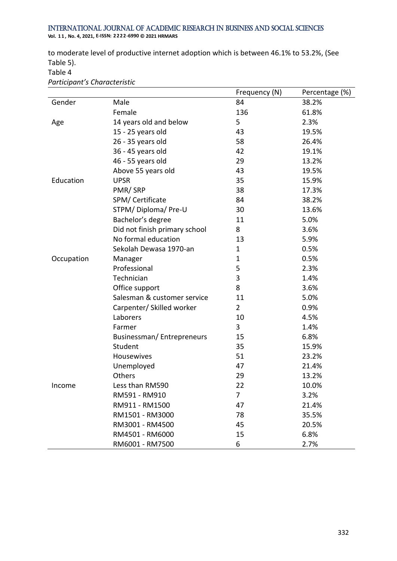**Vol. 1 1 , No. 4, 2021, E-ISSN: 2222-6990 © 2021 HRMARS**

to moderate level of productive internet adoption which is between 46.1% to 53.2%, (See Table 5).

#### Table 4

*Participant's Characteristic*

|            |                               | Frequency (N)  | Percentage (%) |
|------------|-------------------------------|----------------|----------------|
| Gender     | Male                          | 84             | 38.2%          |
|            | Female                        | 136            | 61.8%          |
| Age        | 14 years old and below        | 5              | 2.3%           |
|            | 15 - 25 years old             | 43             | 19.5%          |
|            | 26 - 35 years old             | 58             | 26.4%          |
|            | 36 - 45 years old             | 42             | 19.1%          |
|            | 46 - 55 years old             | 29             | 13.2%          |
|            | Above 55 years old            | 43             | 19.5%          |
| Education  | <b>UPSR</b>                   | 35             | 15.9%          |
|            | PMR/SRP                       | 38             | 17.3%          |
|            | SPM/ Certificate              | 84             | 38.2%          |
|            | STPM/Diploma/Pre-U            | 30             | 13.6%          |
|            | Bachelor's degree             | 11             | 5.0%           |
|            | Did not finish primary school | 8              | 3.6%           |
|            | No formal education           | 13             | 5.9%           |
|            | Sekolah Dewasa 1970-an        | $\mathbf 1$    | 0.5%           |
| Occupation | Manager                       | $\mathbf 1$    | 0.5%           |
|            | Professional                  | 5              | 2.3%           |
|            | Technician                    | 3              | 1.4%           |
|            | Office support                | 8              | 3.6%           |
|            | Salesman & customer service   | 11             | 5.0%           |
|            | Carpenter/ Skilled worker     | $\overline{2}$ | 0.9%           |
|            | Laborers                      | 10             | 4.5%           |
|            | Farmer                        | 3              | 1.4%           |
|            | Businessman/Entrepreneurs     | 15             | 6.8%           |
|            | Student                       | 35             | 15.9%          |
|            | Housewives                    | 51             | 23.2%          |
|            | Unemployed                    | 47             | 21.4%          |
|            | Others                        | 29             | 13.2%          |
| Income     | Less than RM590               | 22             | 10.0%          |
|            | RM591 - RM910                 | 7              | 3.2%           |
|            | RM911 - RM1500                | 47             | 21.4%          |
|            | RM1501 - RM3000               | 78             | 35.5%          |
|            | RM3001 - RM4500               | 45             | 20.5%          |
|            | RM4501 - RM6000               | 15             | 6.8%           |
|            | RM6001 - RM7500               | 6              | 2.7%           |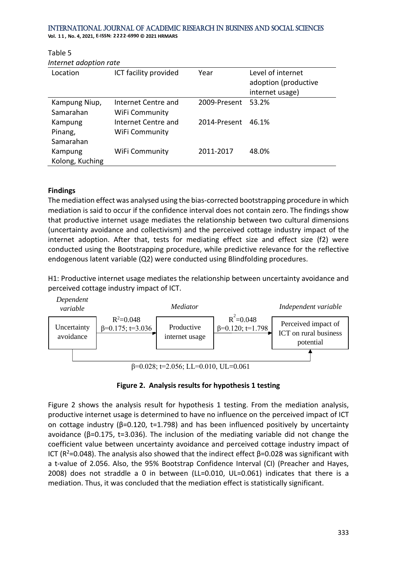**Vol. 1 1 , No. 4, 2021, E-ISSN: 2222-6990 © 2021 HRMARS**

| Internet adoption rate          |                                       |              |                                                              |  |  |  |
|---------------------------------|---------------------------------------|--------------|--------------------------------------------------------------|--|--|--|
| Location                        | ICT facility provided                 | Year         | Level of internet<br>adoption (productive<br>internet usage) |  |  |  |
| Kampung Niup,<br>Samarahan      | Internet Centre and<br>WiFi Community | 2009-Present | 53.2%                                                        |  |  |  |
| Kampung<br>Pinang,<br>Samarahan | Internet Centre and<br>WiFi Community | 2014-Present | 46.1%                                                        |  |  |  |
| Kampung<br>Kolong, Kuching      | WiFi Community                        | 2011-2017    | 48.0%                                                        |  |  |  |

#### **Findings**

Table 5

The mediation effect was analysed using the bias-corrected bootstrapping procedure in which mediation is said to occur if the confidence interval does not contain zero. The findings show that productive internet usage mediates the relationship between two cultural dimensions (uncertainty avoidance and collectivism) and the perceived cottage industry impact of the internet adoption. After that, tests for mediating effect size and effect size (f2) were conducted using the Bootstrapping procedure, while predictive relevance for the reflective endogenous latent variable (Q2) were conducted using Blindfolding procedures.

H1: Productive internet usage mediates the relationship between uncertainty avoidance and perceived cottage industry impact of ICT.



 $β=0.028$ ; t=2.056; LL=0.010, UL=0.061

#### **Figure 2. Analysis results for hypothesis 1 testing**

Figure 2 shows the analysis result for hypothesis 1 testing. From the mediation analysis, productive internet usage is determined to have no influence on the perceived impact of ICT on cottage industry (β=0.120, t=1.798) and has been influenced positively by uncertainty avoidance ( $β=0.175$ , t=3.036). The inclusion of the mediating variable did not change the coefficient value between uncertainty avoidance and perceived cottage industry impact of ICT (R<sup>2</sup>=0.048). The analysis also showed that the indirect effect  $\beta$ =0.028 was significant with a t-value of 2.056. Also, the 95% Bootstrap Confidence Interval (CI) (Preacher and Hayes, 2008) does not straddle a 0 in between (LL=0.010, UL=0.061) indicates that there is a mediation. Thus, it was concluded that the mediation effect is statistically significant.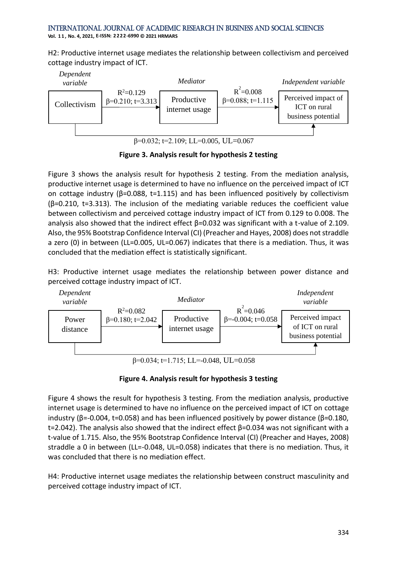**Vol. 1 1 , No. 4, 2021, E-ISSN: 2222-6990 © 2021 HRMARS**

H2: Productive internet usage mediates the relationship between collectivism and perceived cottage industry impact of ICT.



 $β=0.032$ ; t=2.109; LL=0.005, UL=0.067

**Figure 3. Analysis result for hypothesis 2 testing**

Figure 3 shows the analysis result for hypothesis 2 testing. From the mediation analysis, productive internet usage is determined to have no influence on the perceived impact of ICT on cottage industry (β=0.088, t=1.115) and has been influenced positively by collectivism (β=0.210, t=3.313). The inclusion of the mediating variable reduces the coefficient value between collectivism and perceived cottage industry impact of ICT from 0.129 to 0.008. The analysis also showed that the indirect effect β=0.032 was significant with a t-value of 2.109. Also, the 95% Bootstrap Confidence Interval (CI) (Preacher and Hayes, 2008) does not straddle a zero (0) in between (LL=0.005, UL=0.067) indicates that there is a mediation. Thus, it was concluded that the mediation effect is statistically significant.

H3: Productive internet usage mediates the relationship between power distance and perceived cottage industry impact of ICT.



**Figure 4. Analysis result for hypothesis 3 testing**

Figure 4 shows the result for hypothesis 3 testing. From the mediation analysis, productive internet usage is determined to have no influence on the perceived impact of ICT on cottage industry ( $\beta$ =-0.004, t=0.058) and has been influenced positively by power distance ( $\beta$ =0.180, t=2.042). The analysis also showed that the indirect effect β=0.034 was not significant with a t-value of 1.715. Also, the 95% Bootstrap Confidence Interval (CI) (Preacher and Hayes, 2008) straddle a 0 in between (LL=-0.048, UL=0.058) indicates that there is no mediation. Thus, it was concluded that there is no mediation effect.

H4: Productive internet usage mediates the relationship between construct masculinity and perceived cottage industry impact of ICT.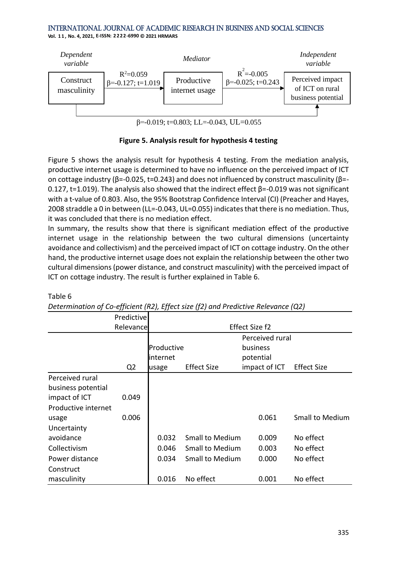**Vol. 1 1 , No. 4, 2021, E-ISSN: 2222-6990 © 2021 HRMARS**

Table 6



**Figure 5. Analysis result for hypothesis 4 testing**

Figure 5 shows the analysis result for hypothesis 4 testing. From the mediation analysis, productive internet usage is determined to have no influence on the perceived impact of ICT on cottage industry ( $\beta$ =-0.025, t=0.243) and does not influenced by construct masculinity ( $\beta$ =-0.127, t=1.019). The analysis also showed that the indirect effect β=-0.019 was not significant with a t-value of 0.803. Also, the 95% Bootstrap Confidence Interval (CI) (Preacher and Hayes, 2008 straddle a 0 in between (LL=-0.043, UL=0.055) indicates that there is no mediation. Thus, it was concluded that there is no mediation effect.

In summary, the results show that there is significant mediation effect of the productive internet usage in the relationship between the two cultural dimensions (uncertainty avoidance and collectivism) and the perceived impact of ICT on cottage industry. On the other hand, the productive internet usage does not explain the relationship between the other two cultural dimensions (power distance, and construct masculinity) with the perceived impact of ICT on cottage industry. The result is further explained in Table 6.

|                     | Predictive     |            |                        |                 |                    |
|---------------------|----------------|------------|------------------------|-----------------|--------------------|
|                     | Relevance      |            |                        | Effect Size f2  |                    |
|                     |                |            |                        | Perceived rural |                    |
|                     |                | Productive |                        | business        |                    |
|                     |                | internet   |                        | potential       |                    |
|                     | Q <sub>2</sub> | usage      | <b>Effect Size</b>     | impact of ICT   | <b>Effect Size</b> |
| Perceived rural     |                |            |                        |                 |                    |
| business potential  |                |            |                        |                 |                    |
| impact of ICT       | 0.049          |            |                        |                 |                    |
| Productive internet |                |            |                        |                 |                    |
| usage               | 0.006          |            |                        | 0.061           | Small to Medium    |
| Uncertainty         |                |            |                        |                 |                    |
| avoidance           |                | 0.032      | <b>Small to Medium</b> | 0.009           | No effect          |
| Collectivism        |                | 0.046      | <b>Small to Medium</b> | 0.003           | No effect          |
| Power distance      |                | 0.034      | Small to Medium        | 0.000           | No effect          |
| Construct           |                |            |                        |                 |                    |
| masculinity         |                | 0.016      | No effect              | 0.001           | No effect          |

*Determination of Co-efficient (R2), Effect size (f2) and Predictive Relevance (Q2)*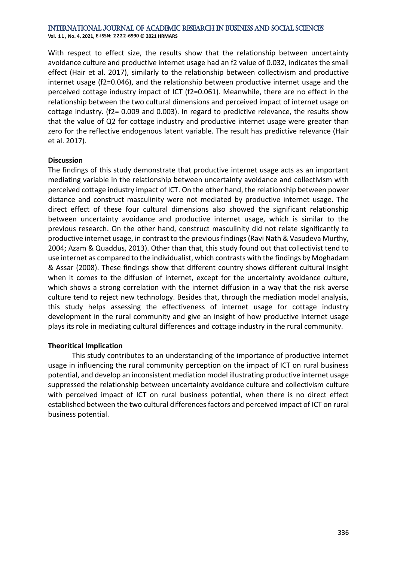**Vol. 1 1 , No. 4, 2021, E-ISSN: 2222-6990 © 2021 HRMARS**

With respect to effect size, the results show that the relationship between uncertainty avoidance culture and productive internet usage had an f2 value of 0.032, indicates the small effect (Hair et al. 2017), similarly to the relationship between collectivism and productive internet usage (f2=0.046), and the relationship between productive internet usage and the perceived cottage industry impact of ICT (f2=0.061). Meanwhile, there are no effect in the relationship between the two cultural dimensions and perceived impact of internet usage on cottage industry. (f2= 0.009 and 0.003). In regard to predictive relevance, the results show that the value of Q2 for cottage industry and productive internet usage were greater than zero for the reflective endogenous latent variable. The result has predictive relevance (Hair et al. 2017).

#### **Discussion**

The findings of this study demonstrate that productive internet usage acts as an important mediating variable in the relationship between uncertainty avoidance and collectivism with perceived cottage industry impact of ICT. On the other hand, the relationship between power distance and construct masculinity were not mediated by productive internet usage. The direct effect of these four cultural dimensions also showed the significant relationship between uncertainty avoidance and productive internet usage, which is similar to the previous research. On the other hand, construct masculinity did not relate significantly to productive internet usage, in contrast to the previous findings (Ravi Nath & Vasudeva Murthy, 2004; Azam & Quaddus, 2013). Other than that, this study found out that collectivist tend to use internet as compared to the individualist, which contrasts with the findings by Moghadam & Assar (2008). These findings show that different country shows different cultural insight when it comes to the diffusion of internet, except for the uncertainty avoidance culture, which shows a strong correlation with the internet diffusion in a way that the risk averse culture tend to reject new technology. Besides that, through the mediation model analysis, this study helps assessing the effectiveness of internet usage for cottage industry development in the rural community and give an insight of how productive internet usage plays its role in mediating cultural differences and cottage industry in the rural community.

#### **Theoritical Implication**

This study contributes to an understanding of the importance of productive internet usage in influencing the rural community perception on the impact of ICT on rural business potential, and develop an inconsistent mediation model illustrating productive internet usage suppressed the relationship between uncertainty avoidance culture and collectivism culture with perceived impact of ICT on rural business potential, when there is no direct effect established between the two cultural differences factors and perceived impact of ICT on rural business potential.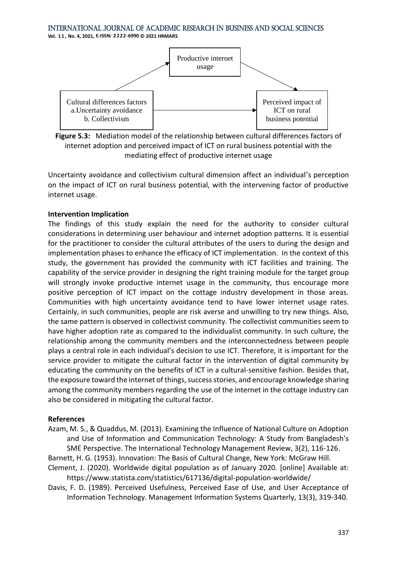**Vol. 1 1 , No. 4, 2021, E-ISSN: 2222-6990 © 2021 HRMARS**



**Figure 5.3:** Mediation model of the relationship between cultural differences factors of internet adoption and perceived impact of ICT on rural business potential with the mediating effect of productive internet usage

Uncertainty avoidance and collectivism cultural dimension affect an individual's perception on the impact of ICT on rural business potential, with the intervening factor of productive internet usage.

#### **Intervention Implication**

The findings of this study explain the need for the authority to consider cultural considerations in determining user behaviour and internet adoption patterns. It is essential for the practitioner to consider the cultural attributes of the users to during the design and implementation phases to enhance the efficacy of ICT implementation. In the context of this study, the government has provided the community with ICT facilities and training. The capability of the service provider in designing the right training module for the target group will strongly invoke productive internet usage in the community, thus encourage more positive perception of ICT impact on the cottage industry development in those areas. Communities with high uncertainty avoidance tend to have lower internet usage rates. Certainly, in such communities, people are risk averse and unwilling to try new things. Also, the same pattern is observed in collectivist community. The collectivist communities seem to have higher adoption rate as compared to the individualist community. In such culture, the relationship among the community members and the interconnectedness between people plays a central role in each individual's decision to use ICT. Therefore, it is important for the service provider to mitigate the cultural factor in the intervention of digital community by educating the community on the benefits of ICT in a cultural-sensitive fashion. Besides that, the exposure toward the internet of things, success stories, and encourage knowledge sharing among the community members regarding the use of the internet in the cottage industry can also be considered in mitigating the cultural factor.

#### **References**

Azam, M. S., & Quaddus, M. (2013). Examining the Influence of National Culture on Adoption and Use of Information and Communication Technology: A Study from Bangladesh's SME Perspective. The International Technology Management Review, 3(2), 116-126.

Barnett, H. G. (1953). Innovation: The Basis of Cultural Change, New York: McGraw Hill.

- Clement, J. (2020). Worldwide digital population as of January 2020. [online] Available at: https://www.statista.com/statistics/617136/digital-population-worldwide/
- Davis, F. D. (1989). Perceived Usefulness, Perceived Ease of Use, and User Acceptance of Information Technology. Management Information Systems Quarterly, 13(3), 319-340.